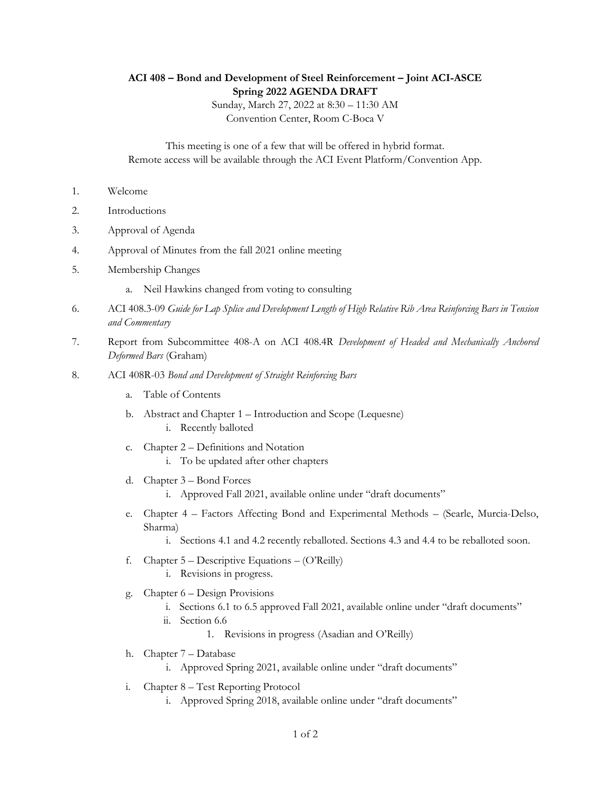## ACI 408 – Bond and Development of Steel Reinforcement – Joint ACI-ASCE Spring 2022 AGENDA DRAFT

Sunday, March 27, 2022 at 8:30 – 11:30 AM Convention Center, Room C-Boca V

This meeting is one of a few that will be offered in hybrid format. Remote access will be available through the ACI Event Platform/Convention App.

- 1. Welcome
- 2. Introductions
- 3. Approval of Agenda
- 4. Approval of Minutes from the fall 2021 online meeting
- 5. Membership Changes
	- a. Neil Hawkins changed from voting to consulting
- 6. ACI 408.3-09 Guide for Lap Splice and Development Length of High Relative Rib Area Reinforcing Bars in Tension and Commentary
- 7. Report from Subcommittee 408-A on ACI 408.4R Development of Headed and Mechanically Anchored Deformed Bars (Graham)
- 8. ACI 408R-03 Bond and Development of Straight Reinforcing Bars
	- a. Table of Contents
	- b. Abstract and Chapter 1 Introduction and Scope (Lequesne) i. Recently balloted
	- c. Chapter 2 Definitions and Notation i. To be updated after other chapters
	- d. Chapter 3 Bond Forces i. Approved Fall 2021, available online under "draft documents"
	- e. Chapter 4 Factors Affecting Bond and Experimental Methods (Searle, Murcia-Delso, Sharma)
		- i. Sections 4.1 and 4.2 recently reballoted. Sections 4.3 and 4.4 to be reballoted soon.
	- f. Chapter 5 Descriptive Equations (O'Reilly)
		- i. Revisions in progress.
	- g. Chapter 6 Design Provisions
		- i. Sections 6.1 to 6.5 approved Fall 2021, available online under "draft documents"
		- ii. Section 6.6
			- 1. Revisions in progress (Asadian and O'Reilly)
	- h. Chapter 7 Database
		- i. Approved Spring 2021, available online under "draft documents"
	- i. Chapter 8 Test Reporting Protocol
		- i. Approved Spring 2018, available online under "draft documents"